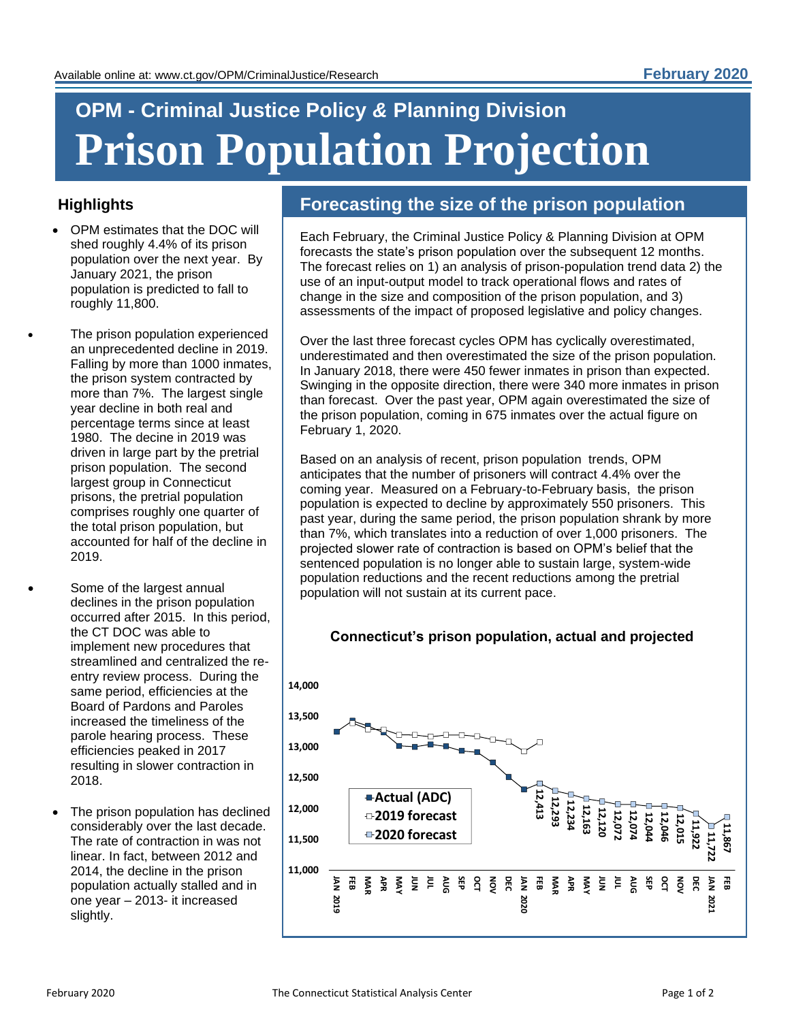# **OPM - Criminal Justice Policy** *&* **Planning Division Prison Population Projection**

### **Highlights**

- OPM estimates that the DOC will shed roughly 4.4% of its prison population over the next year. By January 2021, the prison population is predicted to fall to roughly 11,800.
- The prison population experienced an unprecedented decline in 2019. Falling by more than 1000 inmates, the prison system contracted by more than 7%. The largest single year decline in both real and percentage terms since at least 1980. The decine in 2019 was driven in large part by the pretrial prison population. The second largest group in Connecticut prisons, the pretrial population comprises roughly one quarter of the total prison population, but accounted for half of the decline in 2019.
- Some of the largest annual declines in the prison population occurred after 2015. In this period, the CT DOC was able to implement new procedures that streamlined and centralized the reentry review process. During the same period, efficiencies at the Board of Pardons and Paroles increased the timeliness of the parole hearing process. These efficiencies peaked in 2017 resulting in slower contraction in 2018.
	- The prison population has declined considerably over the last decade. The rate of contraction in was not linear. In fact, between 2012 and 2014, the decline in the prison population actually stalled and in one year – 2013- it increased slightly.

### **Forecasting the size of the prison population**

Each February, the Criminal Justice Policy & Planning Division at OPM forecasts the state's prison population over the subsequent 12 months. The forecast relies on 1) an analysis of prison-population trend data 2) the use of an input-output model to track operational flows and rates of change in the size and composition of the prison population, and 3) assessments of the impact of proposed legislative and policy changes.

Over the last three forecast cycles OPM has cyclically overestimated, underestimated and then overestimated the size of the prison population. In January 2018, there were 450 fewer inmates in prison than expected. Swinging in the opposite direction, there were 340 more inmates in prison than forecast. Over the past year, OPM again overestimated the size of the prison population, coming in 675 inmates over the actual figure on February 1, 2020.

Based on an analysis of recent, prison population trends, OPM anticipates that the number of prisoners will contract 4.4% over the coming year. Measured on a February-to-February basis, the prison population is expected to decline by approximately 550 prisoners. This past year, during the same period, the prison population shrank by more than 7%, which translates into a reduction of over 1,000 prisoners. The projected slower rate of contraction is based on OPM's belief that the sentenced population is no longer able to sustain large, system-wide population reductions and the recent reductions among the pretrial population will not sustain at its current pace.

## **Connecticut's prison population, actual and projected**